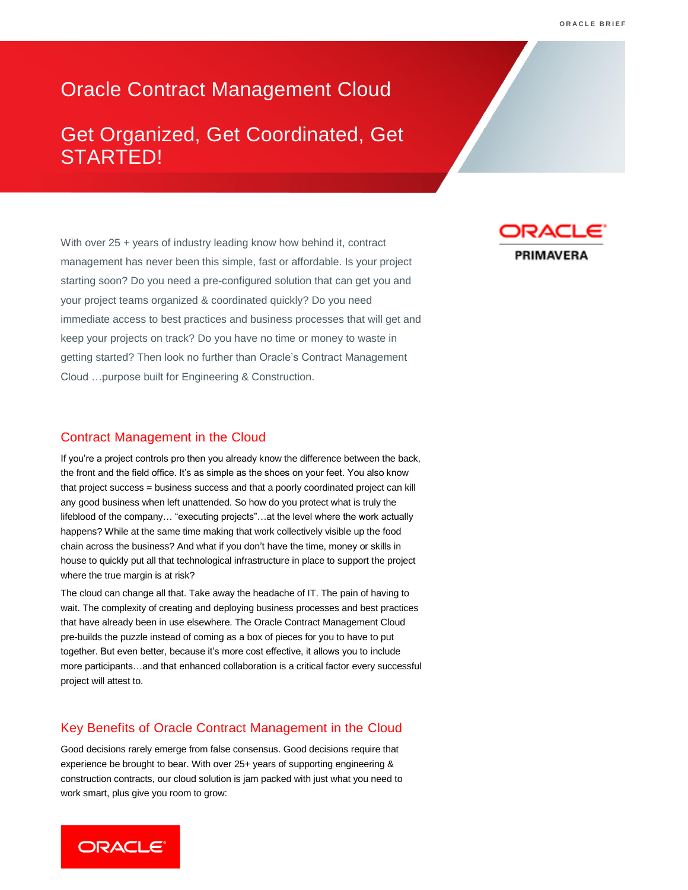# Oracle Contract Management Cloud

# Get Organized, Get Coordinated, Get STARTED!

With over 25 + years of industry leading know how behind it, contract management has never been this simple, fast or affordable. Is your project starting soon? Do you need a pre-configured solution that can get you and your project teams organized & coordinated quickly? Do you need immediate access to best practices and business processes that will get and keep your projects on track? Do you have no time or money to waste in getting started? Then look no further than Oracle's Contract Management Cloud …purpose built for Engineering & Construction.

### Contract Management in the Cloud

If you're a project controls pro then you already know the difference between the back, the front and the field office. It's as simple as the shoes on your feet. You also know that project success = business success and that a poorly coordinated project can kill any good business when left unattended. So how do you protect what is truly the lifeblood of the company… "executing projects"…at the level where the work actually happens? While at the same time making that work collectively visible up the food chain across the business? And what if you don't have the time, money or skills in house to quickly put all that technological infrastructure in place to support the project where the true margin is at risk?

The cloud can change all that. Take away the headache of IT. The pain of having to wait. The complexity of creating and deploying business processes and best practices that have already been in use elsewhere. The Oracle Contract Management Cloud pre-builds the puzzle instead of coming as a box of pieces for you to have to put together. But even better, because it's more cost effective, it allows you to include more participants…and that enhanced collaboration is a critical factor every successful project will attest to.

## Key Benefits of Oracle Contract Management in the Cloud

Good decisions rarely emerge from false consensus. Good decisions require that experience be brought to bear. With over 25+ years of supporting engineering & construction contracts, our cloud solution is jam packed with just what you need to work smart, plus give you room to grow: